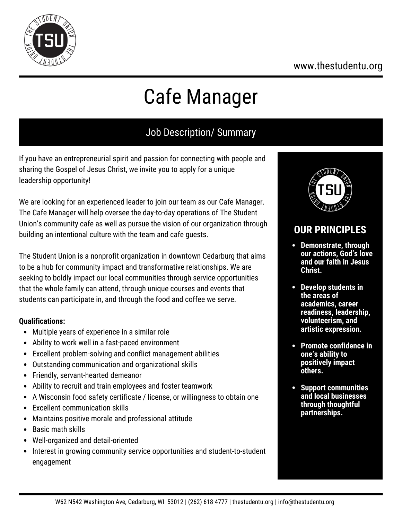### www.thestudentu.org



# Cafe Manager

# Job Description/ Summary

If you have an entrepreneurial spirit and passion for connecting with people and sharing the Gospel of Jesus Christ, we invite you to apply for a unique leadership opportunity!

We are looking for an experienced leader to join our team as our Cafe Manager. The Cafe Manager will help oversee the day-to-day operations of The Student Union's community cafe as well as pursue the vision of our organization through building an intentional culture with the team and cafe guests.

The Student Union is a nonprofit organization in downtown Cedarburg that aims to be a hub for community impact and transformative relationships. We are seeking to boldly impact our local communities through service opportunities that the whole family can attend, through unique courses and events that students can participate in, and through the food and coffee we serve.

#### **Qualifications:**

- Multiple years of experience in a similar role
- Ability to work well in a fast-paced environment
- Excellent problem-solving and conflict management abilities
- Outstanding communication and organizational skills
- Friendly, servant-hearted demeanor
- Ability to recruit and train employees and foster teamwork
- A Wisconsin food safety certificate / license, or willingness to obtain one
- Excellent communication skills
- Maintains positive morale and professional attitude
- Basic math skills
- Well-organized and detail-oriented
- Interest in growing community service opportunities and student-to-student engagement



## **OUR PRINCIPLES**

- **Demonstrate, through our actions, God's love and our faith in Jesus Christ.**
- **Develop students in the areas of academics, career readiness, leadership, volunteerism, and artistic expression.**
- **Promote confidence in one's ability to positively impact others.**
- **Support communities and local businesses through thoughtful partnerships.**